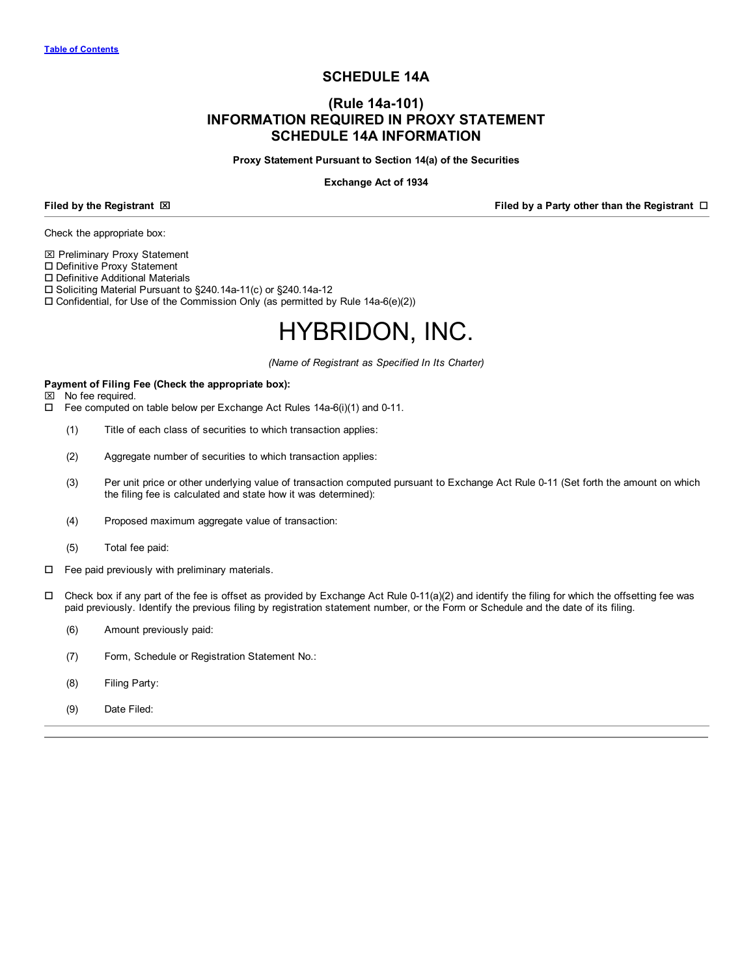# **SCHEDULE 14A**

# **(Rule 14a-101) INFORMATION REQUIRED IN PROXY STATEMENT SCHEDULE 14A INFORMATION**

#### **Proxy Statement Pursuant to Section 14(a) of the Securities**

#### **Exchange Act of 1934**

**Filed** by the Registrant ⊠ **Filed** by a Party other than the Registrant **□** 

Check the appropriate box:

 $⊠$  **Preliminary Proxy Statement** 

□ Definitive Proxy Statement

 $\square$  Definitive Additional Materials

□ Soliciting Material Pursuant to §240.14a-11(c) or §240.14a-12

 $\square$  Confidential, for Use of the Commission Only (as permitted by Rule 14a-6(e)(2))

# HYBRIDON, INC.

*(Name of Registrant as Specified In Its Charter)*

# **Payment of Filing Fee (Check the appropriate box):**

 $\boxtimes$  No fee required.

- $\square$  Fee computed on table below per Exchange Act Rules 14a-6(i)(1) and 0-11.
	- (1) Title of each class of securities to which transaction applies:
	- (2) Aggregate number of securities to which transaction applies:
	- (3) Per unit price or other underlying value of transaction computed pursuant to Exchange Act Rule 0-11 (Set forth the amount on which the filing fee is calculated and state how it was determined):
	- (4) Proposed maximum aggregate value of transaction:
	- (5) Total fee paid:
- $\Box$  Fee paid previously with preliminary materials.
- $\Box$  Check box if any part of the fee is offset as provided by Exchange Act Rule 0-11(a)(2) and identify the filing for which the offsetting fee was paid previously. Identify the previous filing by registration statement number, or the Form or Schedule and the date of its filing.
	- (6) Amount previously paid:
	- (7) Form, Schedule or Registration Statement No.:
	- (8) Filing Party:
	- (9) Date Filed: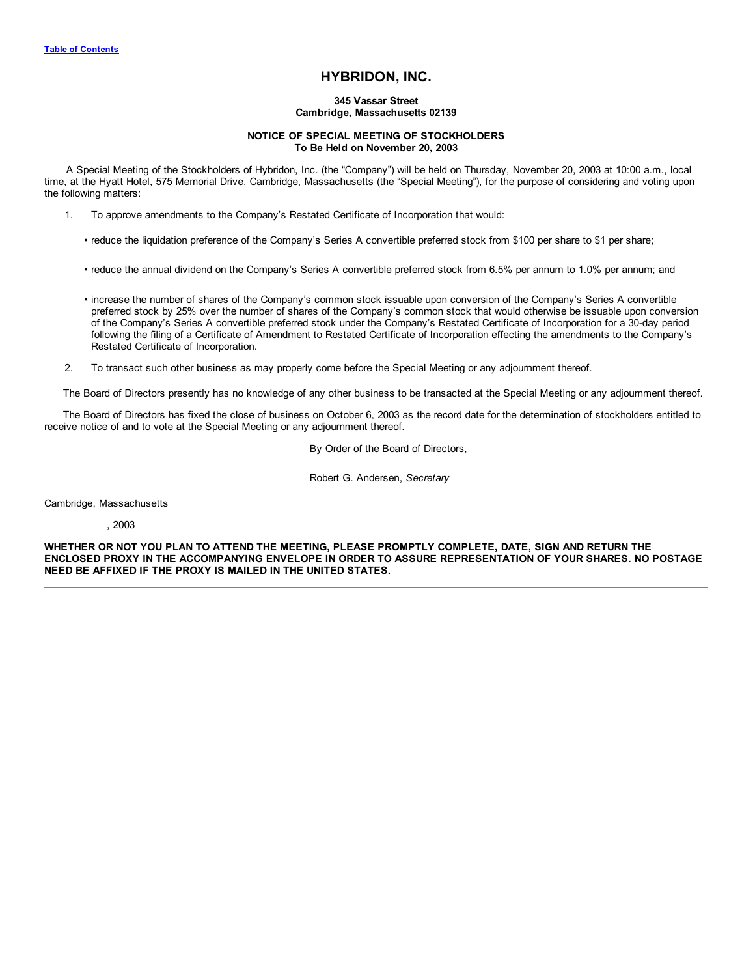# **HYBRIDON, INC.**

#### **345 Vassar Street Cambridge, Massachusetts 02139**

#### **NOTICE OF SPECIAL MEETING OF STOCKHOLDERS To Be Held on November 20, 2003**

<span id="page-1-0"></span>A Special Meeting of the Stockholders of Hybridon, Inc. (the "Company") will be held on Thursday, November 20, 2003 at 10:00 a.m., local time, at the Hyatt Hotel, 575 Memorial Drive, Cambridge, Massachusetts (the "Special Meeting"), for the purpose of considering and voting upon the following matters:

- 1. To approve amendments to the Company's Restated Certificate of Incorporation that would:
	- reduce the liquidation preference of the Company's Series A convertible preferred stock from \$100 per share to \$1 per share;
	- reduce the annual dividend on the Company's Series A convertible preferred stock from 6.5% per annum to 1.0% per annum; and
	- increase the number of shares of the Company's common stock issuable upon conversion of the Company's Series A convertible preferred stock by 25% over the number of shares of the Company's common stock that would otherwise be issuable upon conversion of the Company's Series A convertible preferred stock under the Company's Restated Certificate of Incorporation for a 30-day period following the filing of a Certificate of Amendment to Restated Certificate of Incorporation effecting the amendments to the Company's Restated Certificate of Incorporation.
- 2. To transact such other business as may properly come before the Special Meeting or any adjournment thereof.

The Board of Directors presently has no knowledge of any other business to be transacted at the Special Meeting or any adjournment thereof.

The Board of Directors has fixed the close of business on October 6, 2003 as the record date for the determination of stockholders entitled to receive notice of and to vote at the Special Meeting or any adjournment thereof.

By Order of the Board of Directors,

Robert G. Andersen, *Secretary*

Cambridge, Massachusetts

, 2003

**WHETHER OR NOT YOU PLAN TO ATTEND THE MEETING, PLEASE PROMPTLY COMPLETE, DATE, SIGN AND RETURN THE ENCLOSED PROXY IN THE ACCOMPANYING ENVELOPE IN ORDER TO ASSURE REPRESENTATION OF YOUR SHARES. NO POSTAGE NEED BE AFFIXED IF THE PROXY IS MAILED IN THE UNITED STATES.**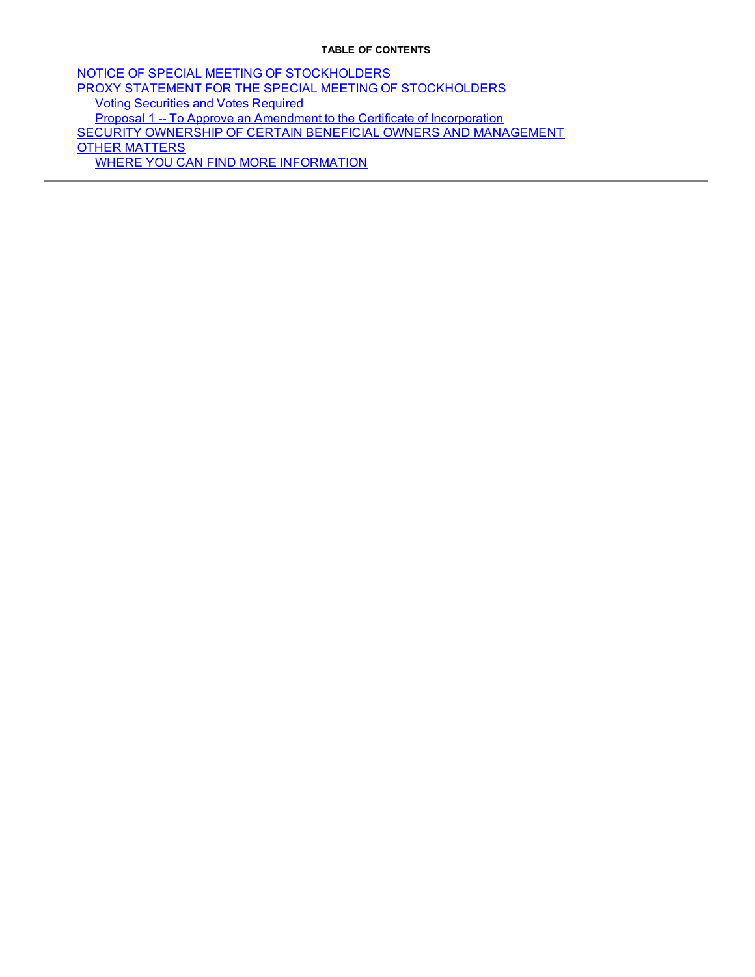# **TABLE OF CONTENTS**

NOTICE OF SPECIAL MEETING OF [STOCKHOLDERS](#page-1-0) PROXY STATEMENT FOR THE SPECIAL MEETING OF [STOCKHOLDERS](#page-3-0) Voting [Securities](#page-3-0) and Votes Required Proposal 1 -- To Approve an Amendment to the Certificate of [Incorporation](#page-4-0) SECURITY OWNERSHIP OF CERTAIN BENEFICIAL OWNERS AND [MANAGEMENT](#page-8-0) OTHER [MATTERS](#page-11-0) WHERE YOU CAN FIND MORE [INFORMATION](#page-12-0)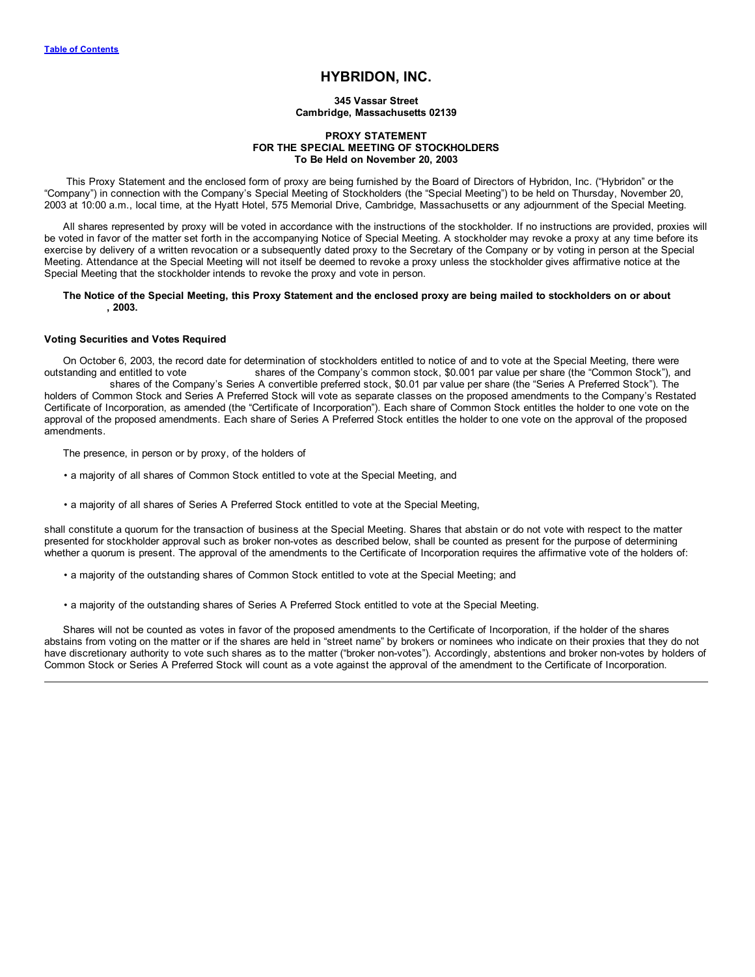# **HYBRIDON, INC.**

**345 Vassar Street Cambridge, Massachusetts 02139**

#### **PROXY STATEMENT FOR THE SPECIAL MEETING OF STOCKHOLDERS To Be Held on November 20, 2003**

<span id="page-3-0"></span>This Proxy Statement and the enclosed form of proxy are being furnished by the Board of Directors of Hybridon, Inc. ("Hybridon" or the "Company") in connection with the Company's Special Meeting of Stockholders (the "Special Meeting") to be held on Thursday, November 20, 2003 at 10:00 a.m., local time, at the Hyatt Hotel, 575 Memorial Drive, Cambridge, Massachusetts or any adjournment of the Special Meeting.

All shares represented by proxy will be voted in accordance with the instructions of the stockholder. If no instructions are provided, proxies will be voted in favor of the matter set forth in the accompanying Notice of Special Meeting. A stockholder may revoke a proxy at any time before its exercise by delivery of a written revocation or a subsequently dated proxy to the Secretary of the Company or by voting in person at the Special Meeting. Attendance at the Special Meeting will not itself be deemed to revoke a proxy unless the stockholder gives affirmative notice at the Special Meeting that the stockholder intends to revoke the proxy and vote in person.

#### The Notice of the Special Meeting, this Proxy Statement and the enclosed proxy are being mailed to stockholders on or about **, 2003.**

#### **Voting Securities and Votes Required**

On October 6, 2003, the record date for determination of stockholders entitled to notice of and to vote at the Special Meeting, there were outstanding and entitled to vote shares of the Company's common stock, \$0.001 par v shares of the Company's common stock, \$0.001 par value per share (the "Common Stock"), and shares of the Company's Series A convertible preferred stock, \$0.01 par value per share (the "Series A Preferred Stock"). The holders of Common Stock and Series A Preferred Stock will vote as separate classes on the proposed amendments to the Company's Restated Certificate of Incorporation, as amended (the "Certificate of Incorporation"). Each share of Common Stock entitles the holder to one vote on the approval of the proposed amendments. Each share of Series A Preferred Stock entitles the holder to one vote on the approval of the proposed amendments.

The presence, in person or by proxy, of the holders of

- a majority of all shares of Common Stock entitled to vote at the Special Meeting, and
- a majority of all shares of Series A Preferred Stock entitled to vote at the Special Meeting,

shall constitute a quorum for the transaction of business at the Special Meeting. Shares that abstain or do not vote with respect to the matter presented for stockholder approval such as broker non-votes as described below, shall be counted as present for the purpose of determining whether a quorum is present. The approval of the amendments to the Certificate of Incorporation requires the affirmative vote of the holders of:

- a majority of the outstanding shares of Common Stock entitled to vote at the Special Meeting; and
- a majority of the outstanding shares of Series A Preferred Stock entitled to vote at the Special Meeting.

Shares will not be counted as votes in favor of the proposed amendments to the Certificate of Incorporation, if the holder of the shares abstains from voting on the matter or if the shares are held in "street name" by brokers or nominees who indicate on their proxies that they do not have discretionary authority to vote such shares as to the matter ("broker non-votes"). Accordingly, abstentions and broker non-votes by holders of Common Stock or Series A Preferred Stock will count as a vote against the approval of the amendment to the Certificate of Incorporation.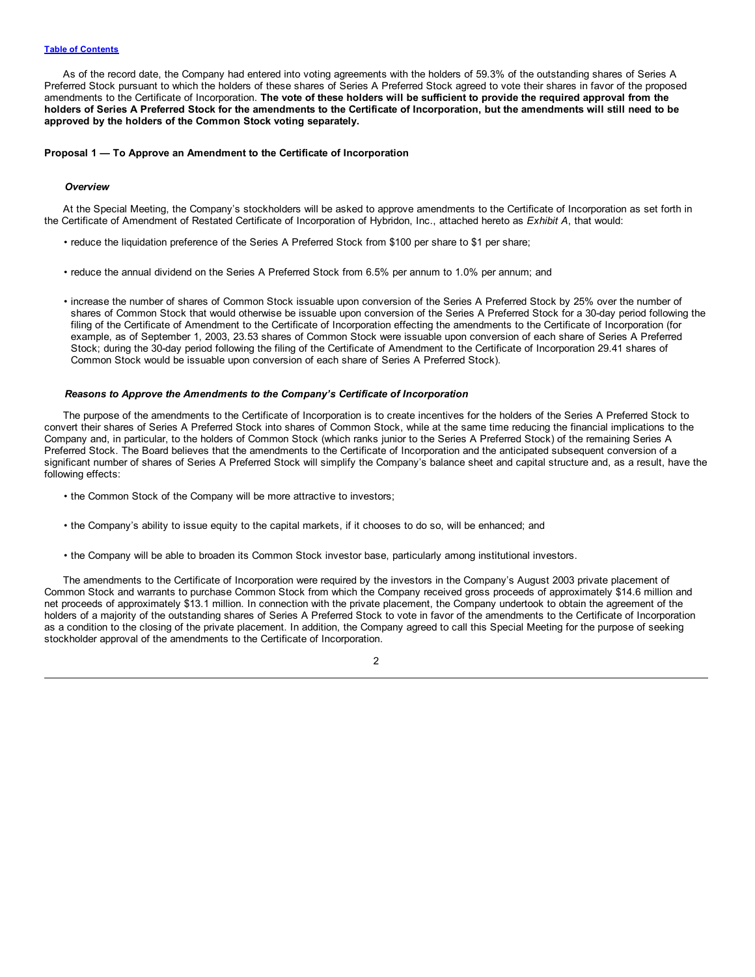<span id="page-4-0"></span>As of the record date, the Company had entered into voting agreements with the holders of 59.3% of the outstanding shares of Series A Preferred Stock pursuant to which the holders of these shares of Series A Preferred Stock agreed to vote their shares in favor of the proposed amendments to the Certificate of Incorporation. The vote of these holders will be sufficient to provide the required approval from the holders of Series A Preferred Stock for the amendments to the Certificate of Incorporation, but the amendments will still need to be **approved by the holders of the Common Stock voting separately.**

#### **Proposal 1 — To Approve an Amendment to the Certificate of Incorporation**

#### *Overview*

At the Special Meeting, the Company's stockholders will be asked to approve amendments to the Certificate of Incorporation as set forth in the Certificate of Amendment of Restated Certificate of Incorporation of Hybridon, Inc., attached hereto as *Exhibit A*, that would:

- reduce the liquidation preference of the Series A Preferred Stock from \$100 per share to \$1 per share;
- reduce the annual dividend on the Series A Preferred Stock from 6.5% per annum to 1.0% per annum; and
- increase the number of shares of Common Stock issuable upon conversion of the Series A Preferred Stock by 25% over the number of shares of Common Stock that would otherwise be issuable upon conversion of the Series A Preferred Stock for a 30-day period following the filing of the Certificate of Amendment to the Certificate of Incorporation effecting the amendments to the Certificate of Incorporation (for example, as of September 1, 2003, 23.53 shares of Common Stock were issuable upon conversion of each share of Series A Preferred Stock; during the 30-day period following the filing of the Certificate of Amendment to the Certificate of Incorporation 29.41 shares of Common Stock would be issuable upon conversion of each share of Series A Preferred Stock).

#### *Reasons to Approve the Amendments to the Company's Certificate of Incorporation*

The purpose of the amendments to the Certificate of Incorporation is to create incentives for the holders of the Series A Preferred Stock to convert their shares of Series A Preferred Stock into shares of Common Stock, while at the same time reducing the financial implications to the Company and, in particular, to the holders of Common Stock (which ranks junior to the Series A Preferred Stock) of the remaining Series A Preferred Stock. The Board believes that the amendments to the Certificate of Incorporation and the anticipated subsequent conversion of a significant number of shares of Series A Preferred Stock will simplify the Company's balance sheet and capital structure and, as a result, have the following effects:

- the Common Stock of the Company will be more attractive to investors;
- the Company's ability to issue equity to the capital markets, if it chooses to do so, will be enhanced; and
- the Company will be able to broaden its Common Stock investor base, particularly among institutional investors.

The amendments to the Certificate of Incorporation were required by the investors in the Company's August 2003 private placement of Common Stock and warrants to purchase Common Stock from which the Company received gross proceeds of approximately \$14.6 million and net proceeds of approximately \$13.1 million. In connection with the private placement, the Company undertook to obtain the agreement of the holders of a majority of the outstanding shares of Series A Preferred Stock to vote in favor of the amendments to the Certificate of Incorporation as a condition to the closing of the private placement. In addition, the Company agreed to call this Special Meeting for the purpose of seeking stockholder approval of the amendments to the Certificate of Incorporation.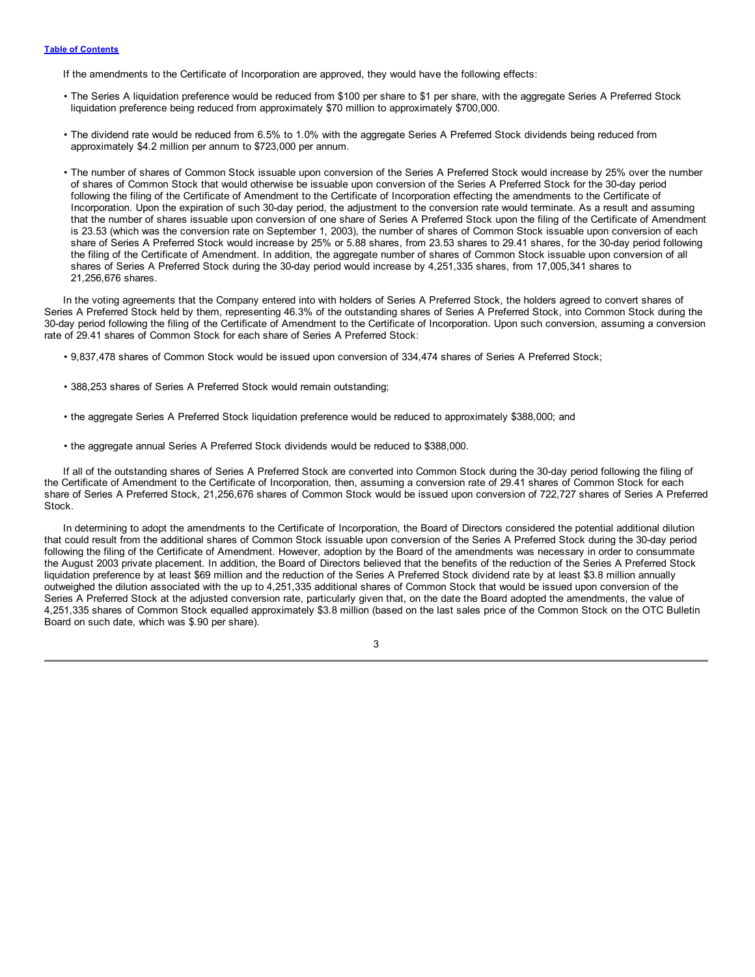#### **Table of [Contents](#page-1-0)**

If the amendments to the Certificate of Incorporation are approved, they would have the following effects:

- The Series A liquidation preference would be reduced from \$100 per share to \$1 per share, with the aggregate Series A Preferred Stock liquidation preference being reduced from approximately \$70 million to approximately \$700,000.
- The dividend rate would be reduced from 6.5% to 1.0% with the aggregate Series A Preferred Stock dividends being reduced from approximately \$4.2 million per annum to \$723,000 per annum.
- The number of shares of Common Stock issuable upon conversion of the Series A Preferred Stock would increase by 25% over the number of shares of Common Stock that would otherwise be issuable upon conversion of the Series A Preferred Stock for the 30-day period following the filing of the Certificate of Amendment to the Certificate of Incorporation effecting the amendments to the Certificate of Incorporation. Upon the expiration of such 30-day period, the adjustment to the conversion rate would terminate. As a result and assuming that the number of shares issuable upon conversion of one share of Series A Preferred Stock upon the filing of the Certificate of Amendment is 23.53 (which was the conversion rate on September 1, 2003), the number of shares of Common Stock issuable upon conversion of each share of Series A Preferred Stock would increase by 25% or 5.88 shares, from 23.53 shares to 29.41 shares, for the 30-day period following the filing of the Certificate of Amendment. In addition, the aggregate number of shares of Common Stock issuable upon conversion of all shares of Series A Preferred Stock during the 30-day period would increase by 4,251,335 shares, from 17,005,341 shares to 21,256,676 shares.

In the voting agreements that the Company entered into with holders of Series A Preferred Stock, the holders agreed to convert shares of Series A Preferred Stock held by them, representing 46.3% of the outstanding shares of Series A Preferred Stock, into Common Stock during the 30-day period following the filing of the Certificate of Amendment to the Certificate of Incorporation. Upon such conversion, assuming a conversion rate of 29.41 shares of Common Stock for each share of Series A Preferred Stock:

- 9,837,478 shares of Common Stock would be issued upon conversion of 334,474 shares of Series A Preferred Stock;
- 388,253 shares of Series A Preferred Stock would remain outstanding;
- the aggregate Series A Preferred Stock liquidation preference would be reduced to approximately \$388,000; and
- the aggregate annual Series A Preferred Stock dividends would be reduced to \$388,000.

If all of the outstanding shares of Series A Preferred Stock are converted into Common Stock during the 30-day period following the filing of the Certificate of Amendment to the Certificate of Incorporation, then, assuming a conversion rate of 29.41 shares of Common Stock for each share of Series A Preferred Stock, 21,256,676 shares of Common Stock would be issued upon conversion of 722,727 shares of Series A Preferred Stock.

In determining to adopt the amendments to the Certificate of Incorporation, the Board of Directors considered the potential additional dilution that could result from the additional shares of Common Stock issuable upon conversion of the Series A Preferred Stock during the 30-day period following the filing of the Certificate of Amendment. However, adoption by the Board of the amendments was necessary in order to consummate the August 2003 private placement. In addition, the Board of Directors believed that the benefits of the reduction of the Series A Preferred Stock liquidation preference by at least \$69 million and the reduction of the Series A Preferred Stock dividend rate by at least \$3.8 million annually outweighed the dilution associated with the up to 4,251,335 additional shares of Common Stock that would be issued upon conversion of the Series A Preferred Stock at the adjusted conversion rate, particularly given that, on the date the Board adopted the amendments, the value of 4,251,335 shares of Common Stock equalled approximately \$3.8 million (based on the last sales price of the Common Stock on the OTC Bulletin Board on such date, which was \$.90 per share).

3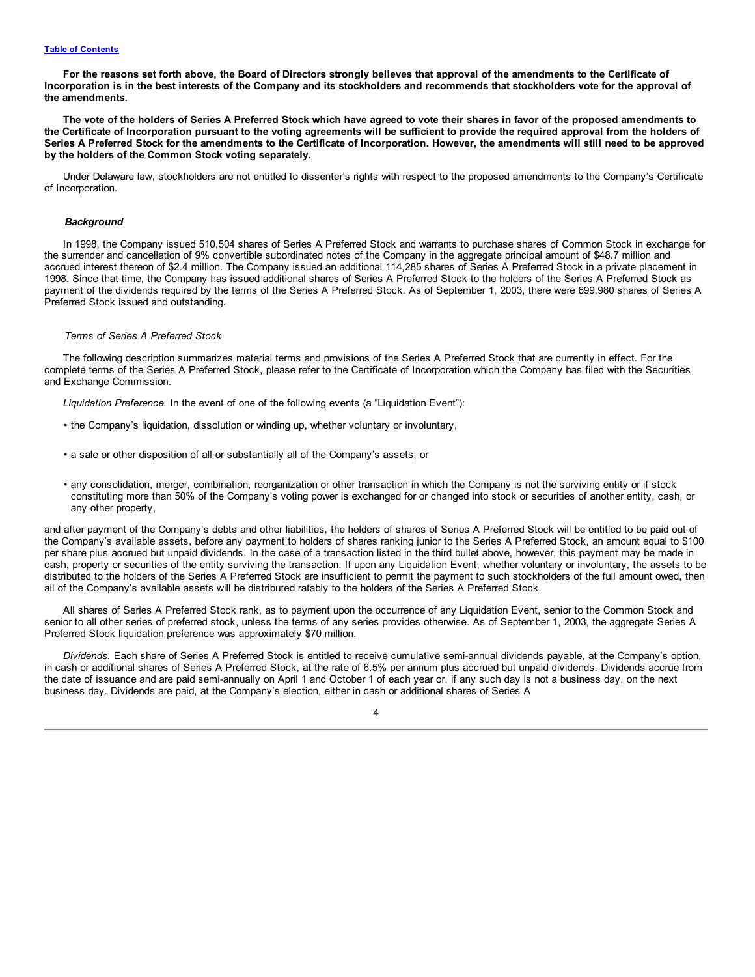For the reasons set forth above, the Board of Directors strongly believes that approval of the amendments to the Certificate of Incorporation is in the best interests of the Company and its stockholders and recommends that stockholders vote for the approval of **the amendments.**

The vote of the holders of Series A Preferred Stock which have agreed to vote their shares in favor of the proposed amendments to the Certificate of Incorporation pursuant to the voting agreements will be sufficient to provide the required approval from the holders of Series A Preferred Stock for the amendments to the Certificate of Incorporation. However, the amendments will still need to be approved **by the holders of the Common Stock voting separately.**

Under Delaware law, stockholders are not entitled to dissenter's rights with respect to the proposed amendments to the Company's Certificate of Incorporation.

#### *Background*

In 1998, the Company issued 510,504 shares of Series A Preferred Stock and warrants to purchase shares of Common Stock in exchange for the surrender and cancellation of 9% convertible subordinated notes of the Company in the aggregate principal amount of \$48.7 million and accrued interest thereon of \$2.4 million. The Company issued an additional 114,285 shares of Series A Preferred Stock in a private placement in 1998. Since that time, the Company has issued additional shares of Series A Preferred Stock to the holders of the Series A Preferred Stock as payment of the dividends required by the terms of the Series A Preferred Stock. As of September 1, 2003, there were 699,980 shares of Series A Preferred Stock issued and outstanding.

#### *Terms of Series A Preferred Stock*

The following description summarizes material terms and provisions of the Series A Preferred Stock that are currently in effect. For the complete terms of the Series A Preferred Stock, please refer to the Certificate of Incorporation which the Company has filed with the Securities and Exchange Commission.

*Liquidation Preference.* In the event of one of the following events (a "Liquidation Event"):

- the Company's liquidation, dissolution or winding up, whether voluntary or involuntary,
- a sale or other disposition of all or substantially all of the Company's assets, or
- any consolidation, merger, combination, reorganization or other transaction in which the Company is not the surviving entity or if stock constituting more than 50% of the Company's voting power is exchanged for or changed into stock or securities of another entity, cash, or any other property,

and after payment of the Company's debts and other liabilities, the holders of shares of Series A Preferred Stock will be entitled to be paid out of the Company's available assets, before any payment to holders of shares ranking junior to the Series A Preferred Stock, an amount equal to \$100 per share plus accrued but unpaid dividends. In the case of a transaction listed in the third bullet above, however, this payment may be made in cash, property or securities of the entity surviving the transaction. If upon any Liquidation Event, whether voluntary or involuntary, the assets to be distributed to the holders of the Series A Preferred Stock are insufficient to permit the payment to such stockholders of the full amount owed, then all of the Company's available assets will be distributed ratably to the holders of the Series A Preferred Stock.

All shares of Series A Preferred Stock rank, as to payment upon the occurrence of any Liquidation Event, senior to the Common Stock and senior to all other series of preferred stock, unless the terms of any series provides otherwise. As of September 1, 2003, the aggregate Series A Preferred Stock liquidation preference was approximately \$70 million.

*Dividends.* Each share of Series A Preferred Stock is entitled to receive cumulative semi-annual dividends payable, at the Company's option, in cash or additional shares of Series A Preferred Stock, at the rate of 6.5% per annum plus accrued but unpaid dividends. Dividends accrue from the date of issuance and are paid semi-annually on April 1 and October 1 of each year or, if any such day is not a business day, on the next business day. Dividends are paid, at the Company's election, either in cash or additional shares of Series A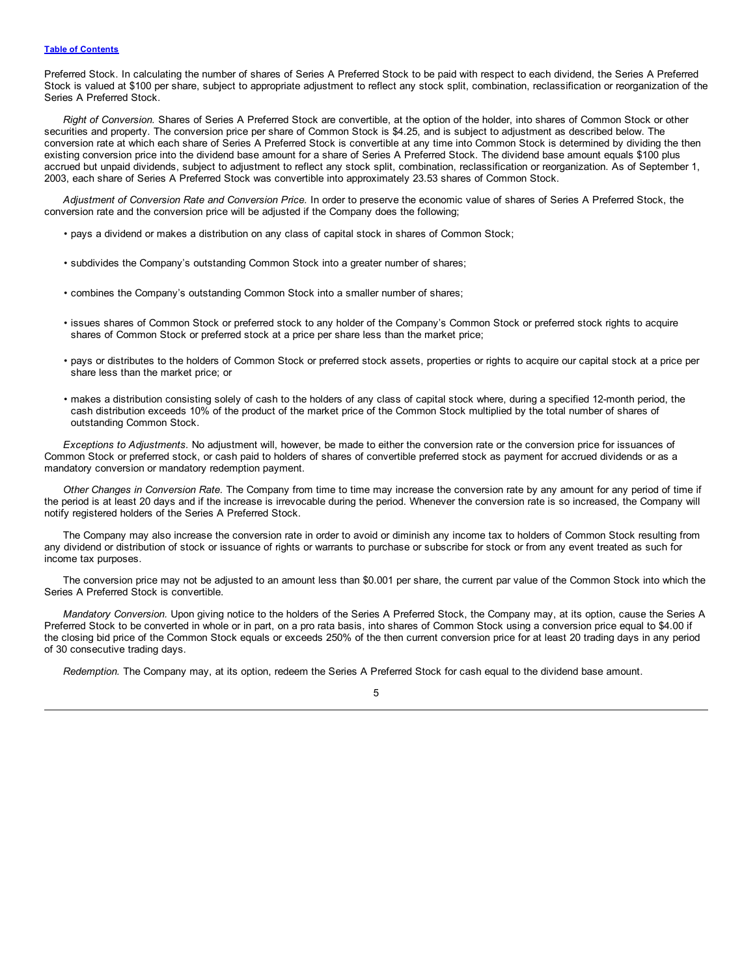#### **Table of [Contents](#page-1-0)**

Preferred Stock. In calculating the number of shares of Series A Preferred Stock to be paid with respect to each dividend, the Series A Preferred Stock is valued at \$100 per share, subject to appropriate adjustment to reflect any stock split, combination, reclassification or reorganization of the Series A Preferred Stock.

*Right of Conversion.* Shares of Series A Preferred Stock are convertible, at the option of the holder, into shares of Common Stock or other securities and property. The conversion price per share of Common Stock is \$4.25, and is subject to adjustment as described below. The conversion rate at which each share of Series A Preferred Stock is convertible at any time into Common Stock is determined by dividing the then existing conversion price into the dividend base amount for a share of Series A Preferred Stock. The dividend base amount equals \$100 plus accrued but unpaid dividends, subject to adjustment to reflect any stock split, combination, reclassification or reorganization. As of September 1, 2003, each share of Series A Preferred Stock was convertible into approximately 23.53 shares of Common Stock.

*Adjustment of Conversion Rate and Conversion Price.* In order to preserve the economic value of shares of Series A Preferred Stock, the conversion rate and the conversion price will be adjusted if the Company does the following;

- pays a dividend or makes a distribution on any class of capital stock in shares of Common Stock;
- subdivides the Company's outstanding Common Stock into a greater number of shares;
- combines the Company's outstanding Common Stock into a smaller number of shares;
- issues shares of Common Stock or preferred stock to any holder of the Company's Common Stock or preferred stock rights to acquire shares of Common Stock or preferred stock at a price per share less than the market price;
- pays or distributes to the holders of Common Stock or preferred stock assets, properties or rights to acquire our capital stock at a price per share less than the market price; or
- makes a distribution consisting solely of cash to the holders of any class of capital stock where, during a specified 12-month period, the cash distribution exceeds 10% of the product of the market price of the Common Stock multiplied by the total number of shares of outstanding Common Stock.

*Exceptions to Adjustments.* No adjustment will, however, be made to either the conversion rate or the conversion price for issuances of Common Stock or preferred stock, or cash paid to holders of shares of convertible preferred stock as payment for accrued dividends or as a mandatory conversion or mandatory redemption payment.

*Other Changes in Conversion Rate.* The Company from time to time may increase the conversion rate by any amount for any period of time if the period is at least 20 days and if the increase is irrevocable during the period. Whenever the conversion rate is so increased, the Company will notify registered holders of the Series A Preferred Stock.

The Company may also increase the conversion rate in order to avoid or diminish any income tax to holders of Common Stock resulting from any dividend or distribution of stock or issuance of rights or warrants to purchase or subscribe for stock or from any event treated as such for income tax purposes.

The conversion price may not be adjusted to an amount less than \$0.001 per share, the current par value of the Common Stock into which the Series A Preferred Stock is convertible.

*Mandatory Conversion.* Upon giving notice to the holders of the Series A Preferred Stock, the Company may, at its option, cause the Series A Preferred Stock to be converted in whole or in part, on a pro rata basis, into shares of Common Stock using a conversion price equal to \$4.00 if the closing bid price of the Common Stock equals or exceeds 250% of the then current conversion price for at least 20 trading days in any period of 30 consecutive trading days.

*Redemption.* The Company may, at its option, redeem the Series A Preferred Stock for cash equal to the dividend base amount.

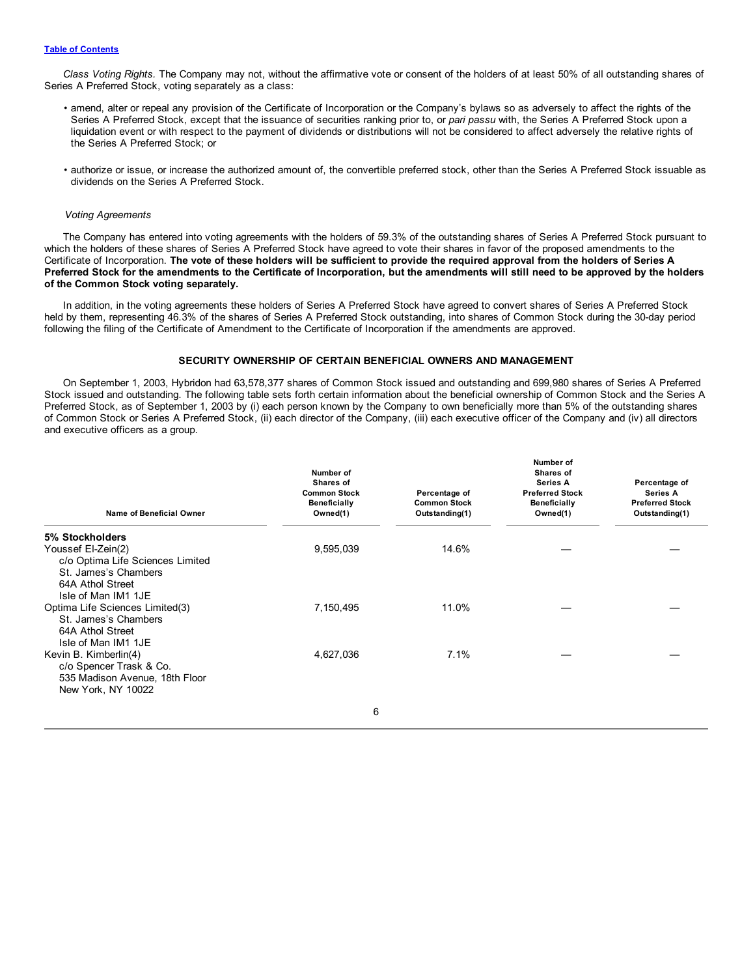<span id="page-8-0"></span>*Class Voting Rights.* The Company may not, without the affirmative vote or consent of the holders of at least 50% of all outstanding shares of Series A Preferred Stock, voting separately as a class:

- amend, alter or repeal any provision of the Certificate of Incorporation or the Company's bylaws so as adversely to affect the rights of the Series A Preferred Stock, except that the issuance of securities ranking prior to, or *pari passu* with, the Series A Preferred Stock upon a liquidation event or with respect to the payment of dividends or distributions will not be considered to affect adversely the relative rights of the Series A Preferred Stock; or
- authorize or issue, or increase the authorized amount of, the convertible preferred stock, other than the Series A Preferred Stock issuable as dividends on the Series A Preferred Stock.

#### *Voting Agreements*

The Company has entered into voting agreements with the holders of 59.3% of the outstanding shares of Series A Preferred Stock pursuant to which the holders of these shares of Series A Preferred Stock have agreed to vote their shares in favor of the proposed amendments to the Certificate of Incorporation. The vote of these holders will be sufficient to provide the required approval from the holders of Series A Preferred Stock for the amendments to the Certificate of Incorporation, but the amendments will still need to be approved by the holders **of the Common Stock voting separately.**

In addition, in the voting agreements these holders of Series A Preferred Stock have agreed to convert shares of Series A Preferred Stock held by them, representing 46.3% of the shares of Series A Preferred Stock outstanding, into shares of Common Stock during the 30-day period following the filing of the Certificate of Amendment to the Certificate of Incorporation if the amendments are approved.

#### **SECURITY OWNERSHIP OF CERTAIN BENEFICIAL OWNERS AND MANAGEMENT**

On September 1, 2003, Hybridon had 63,578,377 shares of Common Stock issued and outstanding and 699,980 shares of Series A Preferred Stock issued and outstanding. The following table sets forth certain information about the beneficial ownership of Common Stock and the Series A Preferred Stock, as of September 1, 2003 by (i) each person known by the Company to own beneficially more than 5% of the outstanding shares of Common Stock or Series A Preferred Stock, (ii) each director of the Company, (iii) each executive officer of the Company and (iv) all directors and executive officers as a group.

|                                                                                                                           | Number of<br>Shares of                                 |                                                        | Number of<br>Shares of<br><b>Series A</b>                 | Percentage of                                        |
|---------------------------------------------------------------------------------------------------------------------------|--------------------------------------------------------|--------------------------------------------------------|-----------------------------------------------------------|------------------------------------------------------|
| <b>Name of Beneficial Owner</b>                                                                                           | <b>Common Stock</b><br><b>Beneficially</b><br>Owned(1) | Percentage of<br><b>Common Stock</b><br>Outstanding(1) | <b>Preferred Stock</b><br><b>Beneficially</b><br>Owned(1) | Series A<br><b>Preferred Stock</b><br>Outstanding(1) |
| 5% Stockholders                                                                                                           |                                                        |                                                        |                                                           |                                                      |
| Youssef El-Zein(2)<br>c/o Optima Life Sciences Limited<br>St. James's Chambers<br>64A Athol Street<br>Isle of Man IM1 1JE | 9,595,039                                              | 14.6%                                                  |                                                           |                                                      |
| Optima Life Sciences Limited(3)<br>St. James's Chambers<br>64A Athol Street<br>Isle of Man IM1 1JE                        | 7,150,495                                              | 11.0%                                                  |                                                           |                                                      |
| Kevin B. Kimberlin(4)<br>c/o Spencer Trask & Co.<br>535 Madison Avenue, 18th Floor<br>New York, NY 10022                  | 4,627,036                                              | 7.1%                                                   |                                                           |                                                      |
|                                                                                                                           | 6                                                      |                                                        |                                                           |                                                      |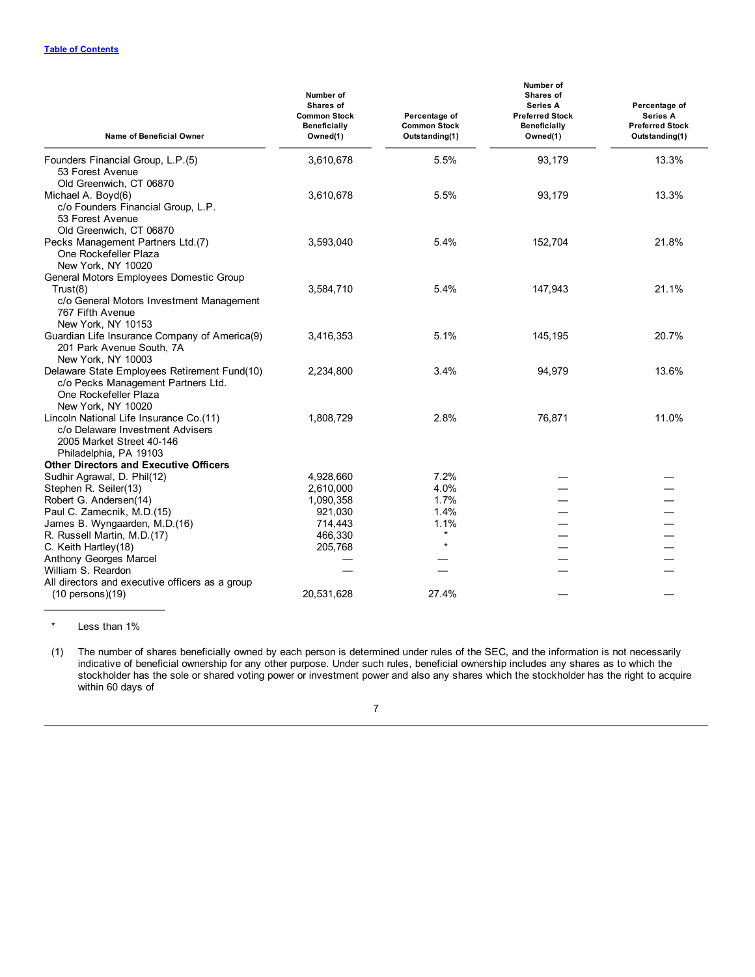| Name of Beneficial Owner                                                                                                                                | Number of<br>Shares of<br><b>Common Stock</b><br><b>Beneficially</b><br>Owned(1) | Percentage of<br><b>Common Stock</b><br>Outstanding(1) | Number of<br>Shares of<br><b>Series A</b><br><b>Preferred Stock</b><br>Beneficially<br>Owned(1) | Percentage of<br>Series A<br><b>Preferred Stock</b><br>Outstanding(1) |
|---------------------------------------------------------------------------------------------------------------------------------------------------------|----------------------------------------------------------------------------------|--------------------------------------------------------|-------------------------------------------------------------------------------------------------|-----------------------------------------------------------------------|
| Founders Financial Group, L.P.(5)<br>53 Forest Avenue                                                                                                   | 3,610,678                                                                        | 5.5%                                                   | 93,179                                                                                          | 13.3%                                                                 |
| Old Greenwich, CT 06870<br>Michael A. Boyd(6)<br>c/o Founders Financial Group, L.P.<br>53 Forest Avenue                                                 | 3,610,678                                                                        | 5.5%                                                   | 93,179                                                                                          | 13.3%                                                                 |
| Old Greenwich, CT 06870<br>Pecks Management Partners Ltd.(7)<br>One Rockefeller Plaza<br>New York, NY 10020                                             | 3,593,040                                                                        | 5.4%                                                   | 152,704                                                                                         | 21.8%                                                                 |
| General Motors Employees Domestic Group<br>Trust(8)<br>c/o General Motors Investment Management<br>767 Fifth Avenue                                     | 3,584,710                                                                        | 5.4%                                                   | 147,943                                                                                         | 21.1%                                                                 |
| New York, NY 10153<br>Guardian Life Insurance Company of America(9)<br>201 Park Avenue South, 7A                                                        | 3,416,353                                                                        | 5.1%                                                   | 145,195                                                                                         | 20.7%                                                                 |
| New York, NY 10003<br>Delaware State Employees Retirement Fund(10)<br>c/o Pecks Management Partners Ltd.<br>One Rockefeller Plaza<br>New York, NY 10020 | 2,234,800                                                                        | 3.4%                                                   | 94,979                                                                                          | 13.6%                                                                 |
| Lincoln National Life Insurance Co.(11)<br>c/o Delaware Investment Advisers<br>2005 Market Street 40-146<br>Philadelphia, PA 19103                      | 1,808,729                                                                        | 2.8%                                                   | 76,871                                                                                          | 11.0%                                                                 |
| <b>Other Directors and Executive Officers</b>                                                                                                           |                                                                                  |                                                        |                                                                                                 |                                                                       |
| Sudhir Agrawal, D. Phil(12)                                                                                                                             | 4,928,660                                                                        | 7.2%                                                   |                                                                                                 |                                                                       |
| Stephen R. Seiler(13)                                                                                                                                   | 2,610,000                                                                        | 4.0%                                                   |                                                                                                 |                                                                       |
| Robert G. Andersen(14)                                                                                                                                  | 1,090,358                                                                        | 1.7%                                                   |                                                                                                 |                                                                       |
| Paul C. Zamecnik, M.D.(15)                                                                                                                              | 921,030                                                                          | 1.4%                                                   |                                                                                                 |                                                                       |
| James B. Wyngaarden, M.D.(16)                                                                                                                           | 714,443                                                                          | 1.1%                                                   |                                                                                                 |                                                                       |
| R. Russell Martin, M.D.(17)                                                                                                                             | 466,330                                                                          | $\star$                                                |                                                                                                 |                                                                       |
| C. Keith Hartley(18)                                                                                                                                    | 205,768                                                                          | $\star$                                                |                                                                                                 |                                                                       |
| Anthony Georges Marcel                                                                                                                                  |                                                                                  |                                                        |                                                                                                 |                                                                       |
| William S. Reardon                                                                                                                                      |                                                                                  |                                                        |                                                                                                 |                                                                       |
| All directors and executive officers as a group                                                                                                         |                                                                                  |                                                        |                                                                                                 |                                                                       |
| $(10 \text{ persons})(19)$                                                                                                                              | 20,531,628                                                                       | 27.4%                                                  |                                                                                                 |                                                                       |

\* Less than 1%

(1) The number of shares beneficially owned by each person is determined under rules of the SEC, and the information is not necessarily indicative of beneficial ownership for any other purpose. Under such rules, beneficial ownership includes any shares as to which the stockholder has the sole or shared voting power or investment power and also any shares which the stockholder has the right to acquire within 60 days of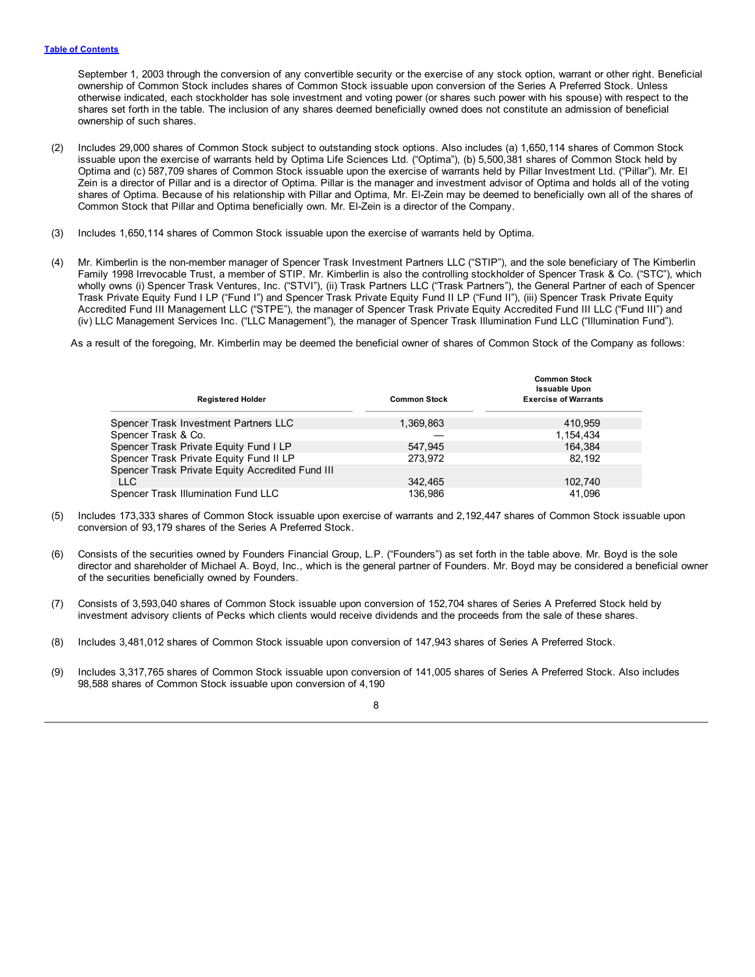September 1, 2003 through the conversion of any convertible security or the exercise of any stock option, warrant or other right. Beneficial ownership of Common Stock includes shares of Common Stock issuable upon conversion of the Series A Preferred Stock. Unless otherwise indicated, each stockholder has sole investment and voting power (or shares such power with his spouse) with respect to the shares set forth in the table. The inclusion of any shares deemed beneficially owned does not constitute an admission of beneficial ownership of such shares.

- (2) Includes 29,000 shares of Common Stock subject to outstanding stock options. Also includes (a) 1,650,114 shares of Common Stock issuable upon the exercise of warrants held by Optima Life Sciences Ltd. ("Optima"), (b) 5,500,381 shares of Common Stock held by Optima and (c) 587,709 shares of Common Stock issuable upon the exercise of warrants held by Pillar Investment Ltd. ("Pillar"). Mr. El Zein is a director of Pillar and is a director of Optima. Pillar is the manager and investment advisor of Optima and holds all of the voting shares of Optima. Because of his relationship with Pillar and Optima, Mr. El-Zein may be deemed to beneficially own all of the shares of Common Stock that Pillar and Optima beneficially own. Mr. El-Zein is a director of the Company.
- (3) Includes 1,650,114 shares of Common Stock issuable upon the exercise of warrants held by Optima.
- (4) Mr. Kimberlin is the non-member manager of Spencer Trask Investment Partners LLC ("STIP"), and the sole beneficiary of The Kimberlin Family 1998 Irrevocable Trust, a member of STIP. Mr. Kimberlin is also the controlling stockholder of Spencer Trask & Co. ("STC"), which wholly owns (i) Spencer Trask Ventures, Inc. ("STVI"), (ii) Trask Partners LLC ("Trask Partners"), the General Partner of each of Spencer Trask Private Equity Fund I LP ("Fund I") and Spencer Trask Private Equity Fund II LP ("Fund II"), (iii) Spencer Trask Private Equity Accredited Fund III Management LLC ("STPE"), the manager of Spencer Trask Private Equity Accredited Fund III LLC ("Fund III") and (iv) LLC Management Services Inc. ("LLC Management"), the manager of Spencer Trask Illumination Fund LLC ("Illumination Fund").

As a result of the foregoing, Mr. Kimberlin may be deemed the beneficial owner of shares of Common Stock of the Company as follows:

| <b>Registered Holder</b>                         | <b>Common Stock</b> | <b>Common Stock</b><br><b>Issuable Upon</b><br><b>Exercise of Warrants</b> |
|--------------------------------------------------|---------------------|----------------------------------------------------------------------------|
| Spencer Trask Investment Partners LLC            | 1,369,863           | 410.959                                                                    |
| Spencer Trask & Co.                              |                     | 1,154,434                                                                  |
| Spencer Trask Private Equity Fund I LP           | 547.945             | 164.384                                                                    |
| Spencer Trask Private Equity Fund II LP          | 273.972             | 82.192                                                                     |
| Spencer Trask Private Equity Accredited Fund III |                     |                                                                            |
| LLC.                                             | 342.465             | 102.740                                                                    |
| Spencer Trask Illumination Fund LLC              | 136.986             | 41.096                                                                     |
|                                                  |                     |                                                                            |

- (5) Includes 173,333 shares of Common Stock issuable upon exercise of warrants and 2,192,447 shares of Common Stock issuable upon conversion of 93,179 shares of the Series A Preferred Stock.
- (6) Consists of the securities owned by Founders Financial Group, L.P. ("Founders") as set forth in the table above. Mr. Boyd is the sole director and shareholder of Michael A. Boyd, Inc., which is the general partner of Founders. Mr. Boyd may be considered a beneficial owner of the securities beneficially owned by Founders.
- (7) Consists of 3,593,040 shares of Common Stock issuable upon conversion of 152,704 shares of Series A Preferred Stock held by investment advisory clients of Pecks which clients would receive dividends and the proceeds from the sale of these shares.

(8) Includes 3,481,012 shares of Common Stock issuable upon conversion of 147,943 shares of Series A Preferred Stock.

(9) Includes 3,317,765 shares of Common Stock issuable upon conversion of 141,005 shares of Series A Preferred Stock. Also includes 98,588 shares of Common Stock issuable upon conversion of 4,190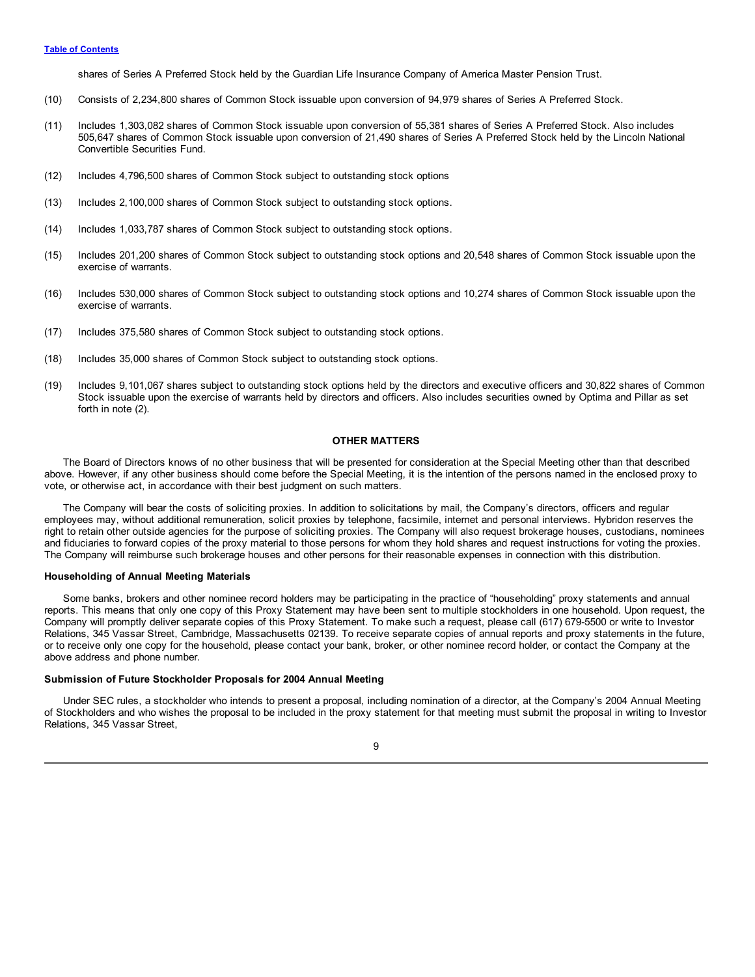<span id="page-11-0"></span>shares of Series A Preferred Stock held by the Guardian Life Insurance Company of America Master Pension Trust.

- (10) Consists of 2,234,800 shares of Common Stock issuable upon conversion of 94,979 shares of Series A Preferred Stock.
- (11) Includes 1,303,082 shares of Common Stock issuable upon conversion of 55,381 shares of Series A Preferred Stock. Also includes 505,647 shares of Common Stock issuable upon conversion of 21,490 shares of Series A Preferred Stock held by the Lincoln National Convertible Securities Fund.
- (12) Includes 4,796,500 shares of Common Stock subject to outstanding stock options
- (13) Includes 2,100,000 shares of Common Stock subject to outstanding stock options.
- (14) Includes 1,033,787 shares of Common Stock subject to outstanding stock options.
- (15) Includes 201,200 shares of Common Stock subject to outstanding stock options and 20,548 shares of Common Stock issuable upon the exercise of warrants.
- (16) Includes 530,000 shares of Common Stock subject to outstanding stock options and 10,274 shares of Common Stock issuable upon the exercise of warrants.
- (17) Includes 375,580 shares of Common Stock subject to outstanding stock options.
- (18) Includes 35,000 shares of Common Stock subject to outstanding stock options.
- (19) Includes 9,101,067 shares subject to outstanding stock options held by the directors and executive officers and 30,822 shares of Common Stock issuable upon the exercise of warrants held by directors and officers. Also includes securities owned by Optima and Pillar as set forth in note (2).

#### **OTHER MATTERS**

The Board of Directors knows of no other business that will be presented for consideration at the Special Meeting other than that described above. However, if any other business should come before the Special Meeting, it is the intention of the persons named in the enclosed proxy to vote, or otherwise act, in accordance with their best judgment on such matters.

The Company will bear the costs of soliciting proxies. In addition to solicitations by mail, the Company's directors, officers and regular employees may, without additional remuneration, solicit proxies by telephone, facsimile, internet and personal interviews. Hybridon reserves the right to retain other outside agencies for the purpose of soliciting proxies. The Company will also request brokerage houses, custodians, nominees and fiduciaries to forward copies of the proxy material to those persons for whom they hold shares and request instructions for voting the proxies. The Company will reimburse such brokerage houses and other persons for their reasonable expenses in connection with this distribution.

#### **Householding of Annual Meeting Materials**

Some banks, brokers and other nominee record holders may be participating in the practice of "householding" proxy statements and annual reports. This means that only one copy of this Proxy Statement may have been sent to multiple stockholders in one household. Upon request, the Company will promptly deliver separate copies of this Proxy Statement. To make such a request, please call (617) 679-5500 or write to Investor Relations, 345 Vassar Street, Cambridge, Massachusetts 02139. To receive separate copies of annual reports and proxy statements in the future, or to receive only one copy for the household, please contact your bank, broker, or other nominee record holder, or contact the Company at the above address and phone number.

#### **Submission of Future Stockholder Proposals for 2004 Annual Meeting**

Under SEC rules, a stockholder who intends to present a proposal, including nomination of a director, at the Company's 2004 Annual Meeting of Stockholders and who wishes the proposal to be included in the proxy statement for that meeting must submit the proposal in writing to Investor Relations, 345 Vassar Street,

9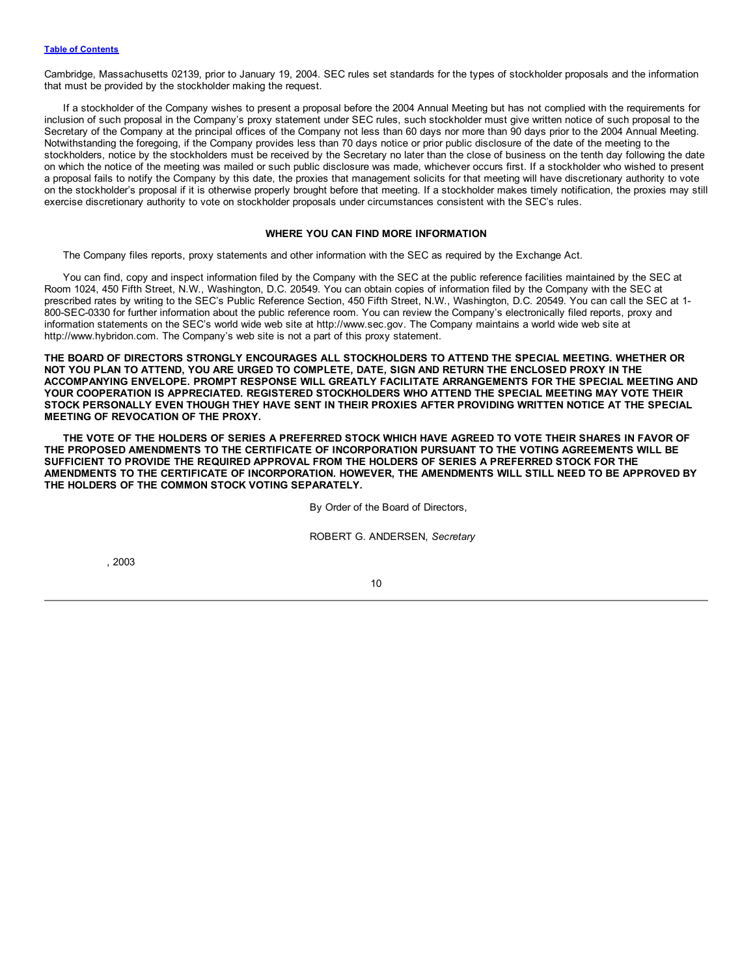<span id="page-12-0"></span>Cambridge, Massachusetts 02139, prior to January 19, 2004. SEC rules set standards for the types of stockholder proposals and the information that must be provided by the stockholder making the request.

If a stockholder of the Company wishes to present a proposal before the 2004 Annual Meeting but has not complied with the requirements for inclusion of such proposal in the Company's proxy statement under SEC rules, such stockholder must give written notice of such proposal to the Secretary of the Company at the principal offices of the Company not less than 60 days nor more than 90 days prior to the 2004 Annual Meeting. Notwithstanding the foregoing, if the Company provides less than 70 days notice or prior public disclosure of the date of the meeting to the stockholders, notice by the stockholders must be received by the Secretary no later than the close of business on the tenth day following the date on which the notice of the meeting was mailed or such public disclosure was made, whichever occurs first. If a stockholder who wished to present a proposal fails to notify the Company by this date, the proxies that management solicits for that meeting will have discretionary authority to vote on the stockholder's proposal if it is otherwise properly brought before that meeting. If a stockholder makes timely notification, the proxies may still exercise discretionary authority to vote on stockholder proposals under circumstances consistent with the SEC's rules.

#### **WHERE YOU CAN FIND MORE INFORMATION**

The Company files reports, proxy statements and other information with the SEC as required by the Exchange Act.

You can find, copy and inspect information filed by the Company with the SEC at the public reference facilities maintained by the SEC at Room 1024, 450 Fifth Street, N.W., Washington, D.C. 20549. You can obtain copies of information filed by the Company with the SEC at prescribed rates by writing to the SEC's Public Reference Section, 450 Fifth Street, N.W., Washington, D.C. 20549. You can call the SEC at 1- 800-SEC-0330 for further information about the public reference room. You can review the Company's electronically filed reports, proxy and information statements on the SEC's world wide web site at http://www.sec.gov. The Company maintains a world wide web site at http://www.hybridon.com. The Company's web site is not a part of this proxy statement.

**THE BOARD OF DIRECTORS STRONGLY ENCOURAGES ALL STOCKHOLDERS TO ATTEND THE SPECIAL MEETING. WHETHER OR** NOT YOU PLAN TO ATTEND, YOU ARE URGED TO COMPLETE, DATE, SIGN AND RETURN THE ENCLOSED PROXY IN THE **ACCOMPANYING ENVELOPE. PROMPT RESPONSE WILL GREATLY FACILITATE ARRANGEMENTS FOR THE SPECIAL MEETING AND YOUR COOPERATION IS APPRECIATED. REGISTERED STOCKHOLDERS WHO ATTEND THE SPECIAL MEETING MAY VOTE THEIR** STOCK PERSONALLY EVEN THOUGH THEY HAVE SENT IN THEIR PROXIES AFTER PROVIDING WRITTEN NOTICE AT THE SPECIAL **MEETING OF REVOCATION OF THE PROXY.**

THE VOTE OF THE HOLDERS OF SERIES A PREFERRED STOCK WHICH HAVE AGREED TO VOTE THEIR SHARES IN FAVOR OF **THE PROPOSED AMENDMENTS TO THE CERTIFICATE OF INCORPORATION PURSUANT TO THE VOTING AGREEMENTS WILL BE SUFFICIENT TO PROVIDE THE REQUIRED APPROVAL FROM THE HOLDERS OF SERIES A PREFERRED STOCK FOR THE AMENDMENTS TO THE CERTIFICATE OF INCORPORATION. HOWEVER, THE AMENDMENTS WILL STILL NEED TO BE APPROVED BY THE HOLDERS OF THE COMMON STOCK VOTING SEPARATELY.**

By Order of the Board of Directors,

ROBERT G. ANDERSEN, *Secretary*

, 2003

10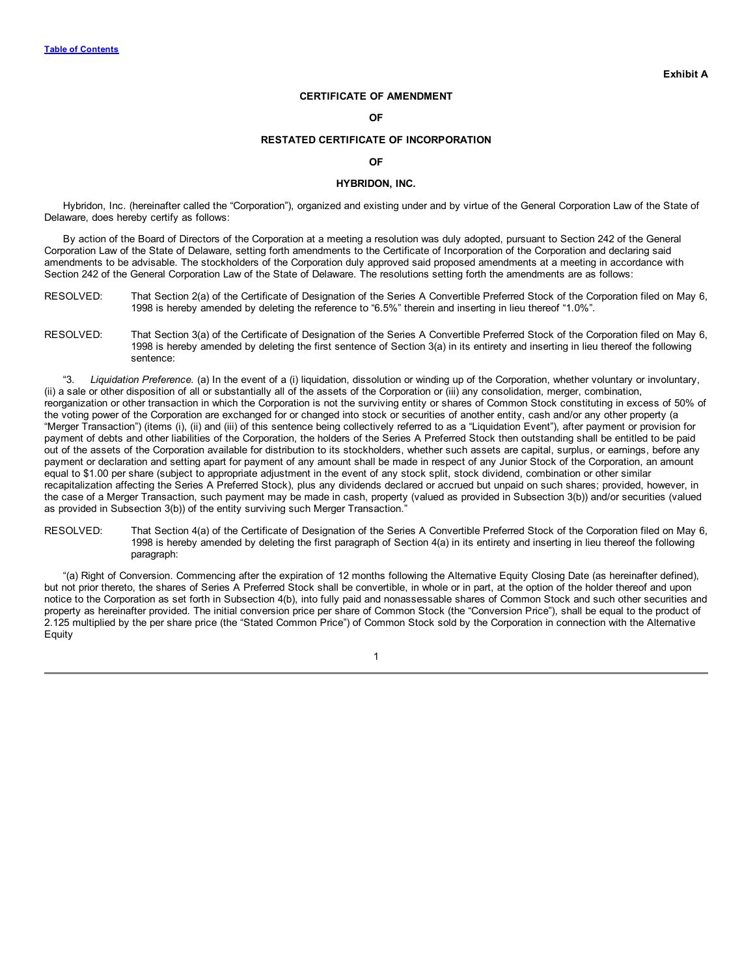# **CERTIFICATE OF AMENDMENT**

#### **OF**

#### **RESTATED CERTIFICATE OF INCORPORATION**

#### **OF**

#### **HYBRIDON, INC.**

Hybridon, Inc. (hereinafter called the "Corporation"), organized and existing under and by virtue of the General Corporation Law of the State of Delaware, does hereby certify as follows:

By action of the Board of Directors of the Corporation at a meeting a resolution was duly adopted, pursuant to Section 242 of the General Corporation Law of the State of Delaware, setting forth amendments to the Certificate of Incorporation of the Corporation and declaring said amendments to be advisable. The stockholders of the Corporation duly approved said proposed amendments at a meeting in accordance with Section 242 of the General Corporation Law of the State of Delaware. The resolutions setting forth the amendments are as follows:

- RESOLVED: That Section 2(a) of the Certificate of Designation of the Series A Convertible Preferred Stock of the Corporation filed on May 6, 1998 is hereby amended by deleting the reference to "6.5%" therein and inserting in lieu thereof "1.0%".
- RESOLVED: That Section 3(a) of the Certificate of Designation of the Series A Convertible Preferred Stock of the Corporation filed on May 6, 1998 is hereby amended by deleting the first sentence of Section 3(a) in its entirety and inserting in lieu thereof the following sentence:

"3. *Liquidation Preference.* (a) In the event of a (i) liquidation, dissolution or winding up of the Corporation, whether voluntary or involuntary, (ii) a sale or other disposition of all or substantially all of the assets of the Corporation or (iii) any consolidation, merger, combination, reorganization or other transaction in which the Corporation is not the surviving entity or shares of Common Stock constituting in excess of 50% of the voting power of the Corporation are exchanged for or changed into stock or securities of another entity, cash and/or any other property (a "Merger Transaction") (items (i), (ii) and (iii) of this sentence being collectively referred to as a "Liquidation Event"), after payment or provision for payment of debts and other liabilities of the Corporation, the holders of the Series A Preferred Stock then outstanding shall be entitled to be paid out of the assets of the Corporation available for distribution to its stockholders, whether such assets are capital, surplus, or earnings, before any payment or declaration and setting apart for payment of any amount shall be made in respect of any Junior Stock of the Corporation, an amount equal to \$1.00 per share (subject to appropriate adjustment in the event of any stock split, stock dividend, combination or other similar recapitalization affecting the Series A Preferred Stock), plus any dividends declared or accrued but unpaid on such shares; provided, however, in the case of a Merger Transaction, such payment may be made in cash, property (valued as provided in Subsection 3(b)) and/or securities (valued as provided in Subsection 3(b)) of the entity surviving such Merger Transaction."

RESOLVED: That Section 4(a) of the Certificate of Designation of the Series A Convertible Preferred Stock of the Corporation filed on May 6, 1998 is hereby amended by deleting the first paragraph of Section 4(a) in its entirety and inserting in lieu thereof the following paragraph:

"(a) Right of Conversion. Commencing after the expiration of 12 months following the Alternative Equity Closing Date (as hereinafter defined), but not prior thereto, the shares of Series A Preferred Stock shall be convertible, in whole or in part, at the option of the holder thereof and upon notice to the Corporation as set forth in Subsection 4(b), into fully paid and nonassessable shares of Common Stock and such other securities and property as hereinafter provided. The initial conversion price per share of Common Stock (the "Conversion Price"), shall be equal to the product of 2.125 multiplied by the per share price (the "Stated Common Price") of Common Stock sold by the Corporation in connection with the Alternative Equity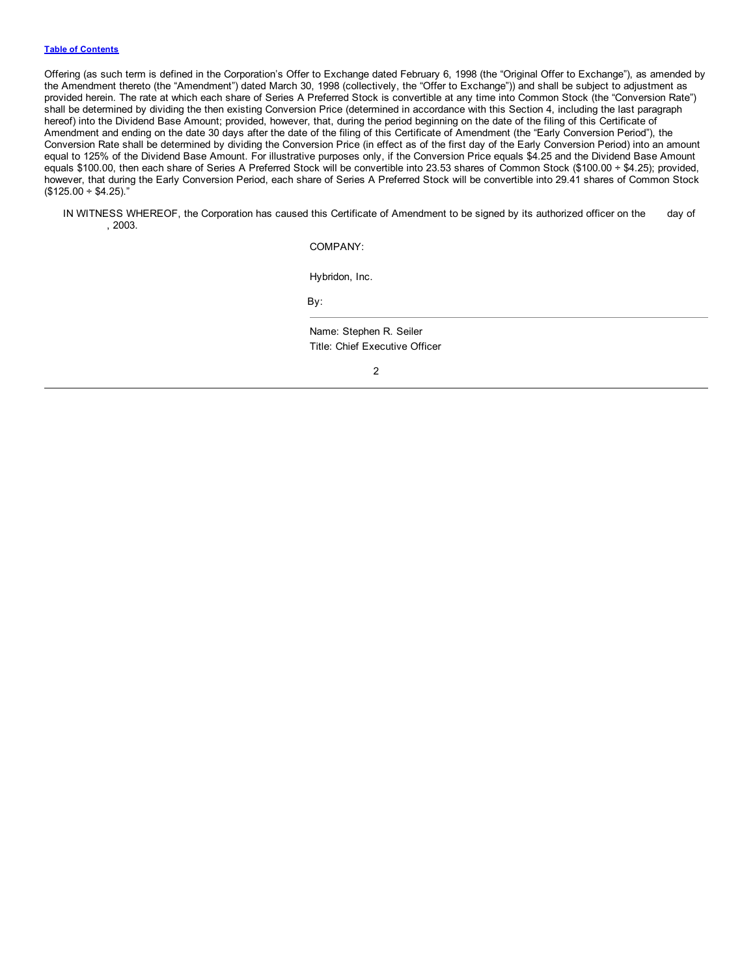#### **Table of [Contents](#page-1-0)**

Offering (as such term is defined in the Corporation's Offer to Exchange dated February 6, 1998 (the "Original Offer to Exchange"), as amended by the Amendment thereto (the "Amendment") dated March 30, 1998 (collectively, the "Offer to Exchange")) and shall be subject to adjustment as provided herein. The rate at which each share of Series A Preferred Stock is convertible at any time into Common Stock (the "Conversion Rate") shall be determined by dividing the then existing Conversion Price (determined in accordance with this Section 4, including the last paragraph hereof) into the Dividend Base Amount; provided, however, that, during the period beginning on the date of the filing of this Certificate of Amendment and ending on the date 30 days after the date of the filing of this Certificate of Amendment (the "Early Conversion Period"), the Conversion Rate shall be determined by dividing the Conversion Price (in effect as of the first day of the Early Conversion Period) into an amount equal to 125% of the Dividend Base Amount. For illustrative purposes only, if the Conversion Price equals \$4.25 and the Dividend Base Amount equals \$100.00, then each share of Series A Preferred Stock will be convertible into 23.53 shares of Common Stock (\$100.00 ÷ \$4.25); provided, however, that during the Early Conversion Period, each share of Series A Preferred Stock will be convertible into 29.41 shares of Common Stock  $($125.00 \div $4.25)$ .

IN WITNESS WHEREOF, the Corporation has caused this Certificate of Amendment to be signed by its authorized officer on the day of , 2003.

COMPANY:

Hybridon, Inc.

By:

Name: Stephen R. Seiler Title: Chief Executive Officer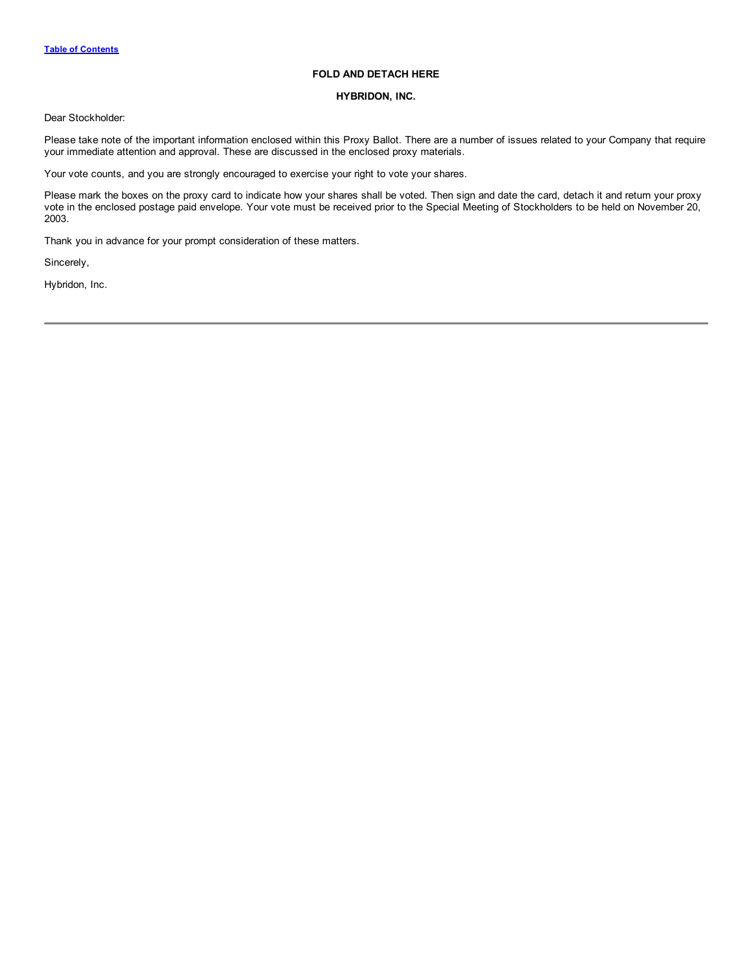# **FOLD AND DETACH HERE**

# **HYBRIDON, INC.**

Dear Stockholder:

Please take note of the important information enclosed within this Proxy Ballot. There are a number of issues related to your Company that require your immediate attention and approval. These are discussed in the enclosed proxy materials.

Your vote counts, and you are strongly encouraged to exercise your right to vote your shares.

Please mark the boxes on the proxy card to indicate how your shares shall be voted. Then sign and date the card, detach it and return your proxy vote in the enclosed postage paid envelope. Your vote must be received prior to the Special Meeting of Stockholders to be held on November 20, 2003.

Thank you in advance for your prompt consideration of these matters.

Sincerely,

Hybridon, Inc.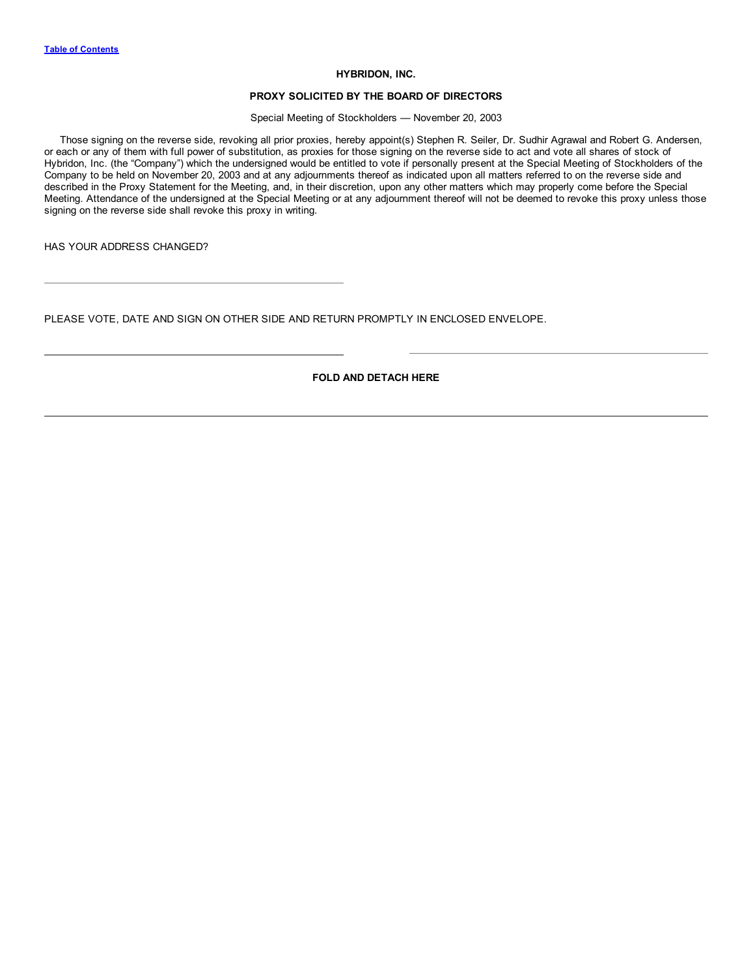#### **HYBRIDON, INC.**

### **PROXY SOLICITED BY THE BOARD OF DIRECTORS**

Special Meeting of Stockholders — November 20, 2003

Those signing on the reverse side, revoking all prior proxies, hereby appoint(s) Stephen R. Seiler, Dr. Sudhir Agrawal and Robert G. Andersen, or each or any of them with full power of substitution, as proxies for those signing on the reverse side to act and vote all shares of stock of Hybridon, Inc. (the "Company") which the undersigned would be entitled to vote if personally present at the Special Meeting of Stockholders of the Company to be held on November 20, 2003 and at any adjournments thereof as indicated upon all matters referred to on the reverse side and described in the Proxy Statement for the Meeting, and, in their discretion, upon any other matters which may properly come before the Special Meeting. Attendance of the undersigned at the Special Meeting or at any adjournment thereof will not be deemed to revoke this proxy unless those signing on the reverse side shall revoke this proxy in writing.

HAS YOUR ADDRESS CHANGED?

PLEASE VOTE, DATE AND SIGN ON OTHER SIDE AND RETURN PROMPTLY IN ENCLOSED ENVELOPE.

**FOLD AND DETACH HERE**